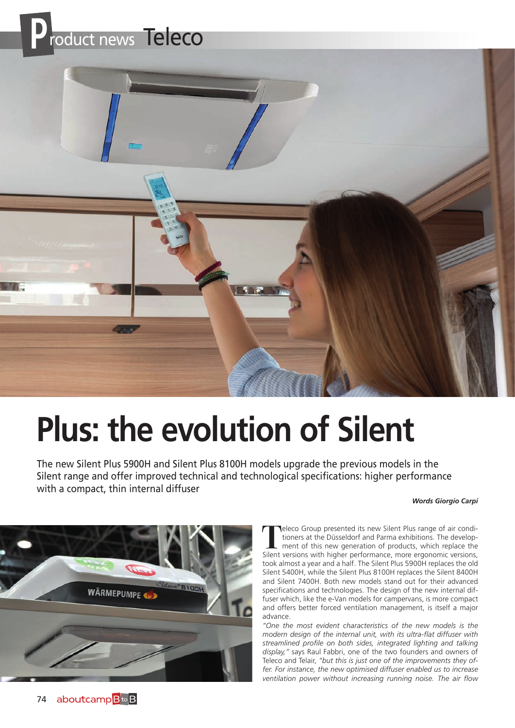

## **Plus: the evolution of Silent**

The new Silent Plus 5900H and Silent Plus 8100H models upgrade the previous models in the Silent range and offer improved technical and technological specifications: higher performance with a compact, thin internal diffuser

## *Words Giorgio Carpi*



**Theory of School School School School School School School School School School School School School School School School School School School School School School School School School School School School School School S** tioners at the Düsseldorf and Parma exhibitions. The develop- $\mathsf L$  ment of this new generation of products, which replace the Silent versions with higher performance, more ergonomic versions, took almost a year and a half. The Silent Plus 5900H replaces the old Silent 5400H, while the Silent Plus 8100H replaces the Silent 8400H and Silent 7400H. Both new models stand out for their advanced specifications and technologies. The design of the new internal diffuser which, like the e-Van models for campervans, is more compact and offers better forced ventilation management, is itself a major advance.

*"One the most evident characteristics of the new models is the modern design of the internal unit, with its ultra-flat diffuser with streamlined profile on both sides, integrated lighting and talking display,"* says Raul Fabbri, one of the two founders and owners of Teleco and Telair, *"but this is just one of the improvements they offer. For instance, the new optimised diffuser enabled us to increase ventilation power without increasing running noise. The air flow*